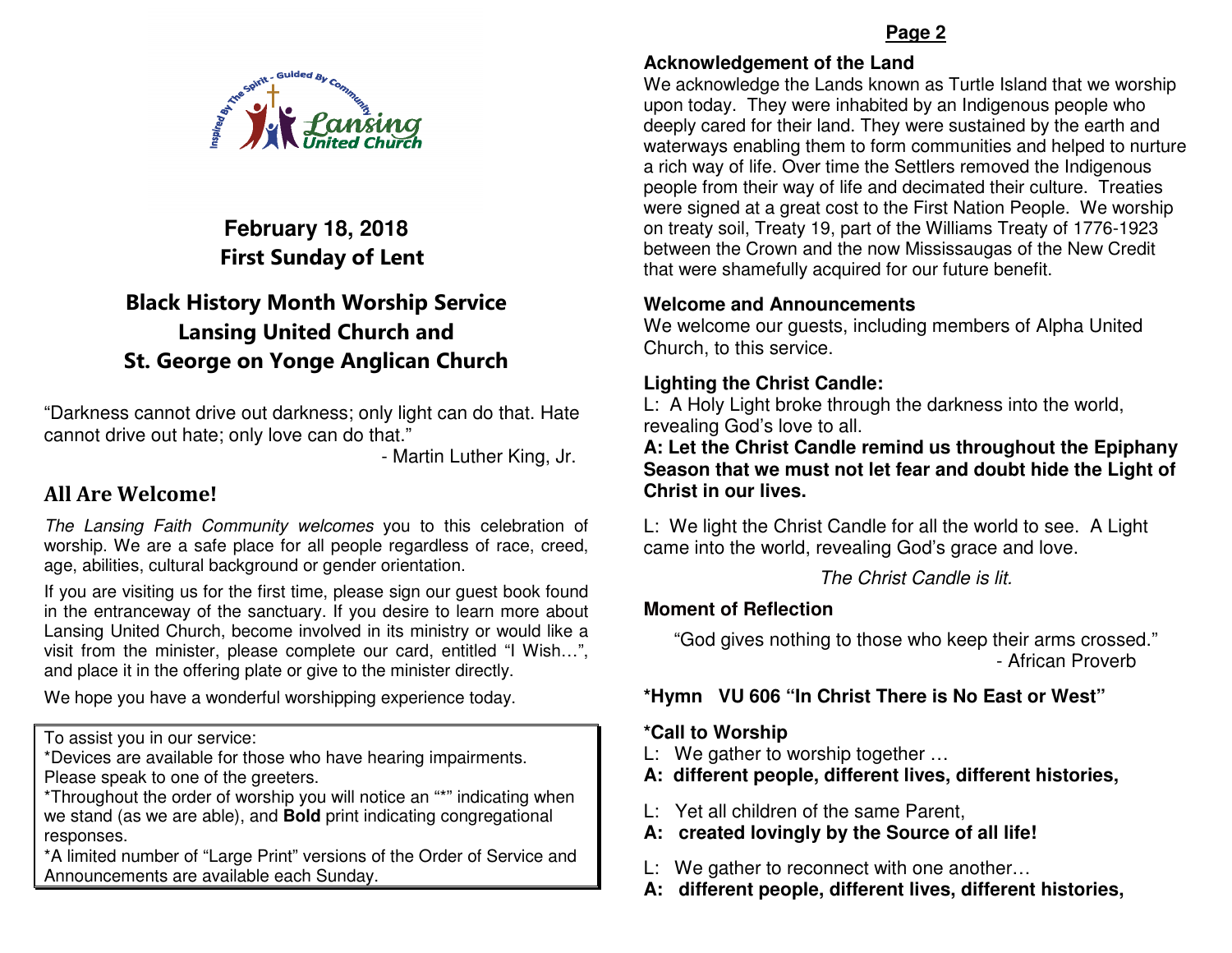

# **February 18, 2018**First Sunday of Lent

# Black History Month Worship Service Lansing United Church and St. George on Yonge Anglican Church

"Darkness cannot drive out darkness; only light can do that. Hate cannot drive out hate; only love can do that."

- Martin Luther King, Jr.

## All Are Welcome!

The Lansing Faith Community welcomes you to this celebration of worship. We are a safe place for all people regardless of race, creed, age, abilities, cultural background or gender orientation.

If you are visiting us for the first time, please sign our guest book found in the entranceway of the sanctuary. If you desire to learn more about Lansing United Church, become involved in its ministry or would like a visit from the minister, please complete our card, entitled "I Wish…", and place it in the offering plate or give to the minister directly.

We hope you have a wonderful worshipping experience today.

To assist you in our service:

 \*Devices are available for those who have hearing impairments. Please speak to one of the greeters.

 \*Throughout the order of worship you will notice an "\*" indicating when we stand (as we are able), and **Bold** print indicating congregational responses.

 \*A limited number of "Large Print" versions of the Order of Service andAnnouncements are available each Sunday.

#### **Page 2**

#### **Acknowledgement of the Land**

 We acknowledge the Lands known as Turtle Island that we worship upon today. They were inhabited by an Indigenous people who deeply cared for their land. They were sustained by the earth and waterways enabling them to form communities and helped to nurture a rich way of life. Over time the Settlers removed the Indigenous people from their way of life and decimated their culture. Treaties were signed at a great cost to the First Nation People. We worship on treaty soil, Treaty 19, part of the Williams Treaty of 1776-1923 between the Crown and the now Mississaugas of the New Credit that were shamefully acquired for our future benefit.

#### **Welcome and Announcements**

 We welcome our guests, including members of Alpha United Church, to this service.

### **Lighting the Christ Candle:**

 L: A Holy Light broke through the darkness into the world, revealing God's love to all.

 **A: Let the Christ Candle remind us throughout the Epiphany Season that we must not let fear and doubt hide the Light of Christ in our lives.** 

L: We light the Christ Candle for all the world to see. A Light came into the world, revealing God's grace and love.

The Christ Candle is lit.

#### **Moment of Reflection**

"God gives nothing to those who keep their arms crossed." - African Proverb

### **\*Hymn VU 606 "In Christ There is No East or West"**

#### **\*Call to Worship**

- L: We gather to worship together …
- **A: different people, different lives, different histories,**
- L: Yet all children of the same Parent,
- **A: created lovingly by the Source of all life!**
- L: We gather to reconnect with one another…
- **A: different people, different lives, different histories,**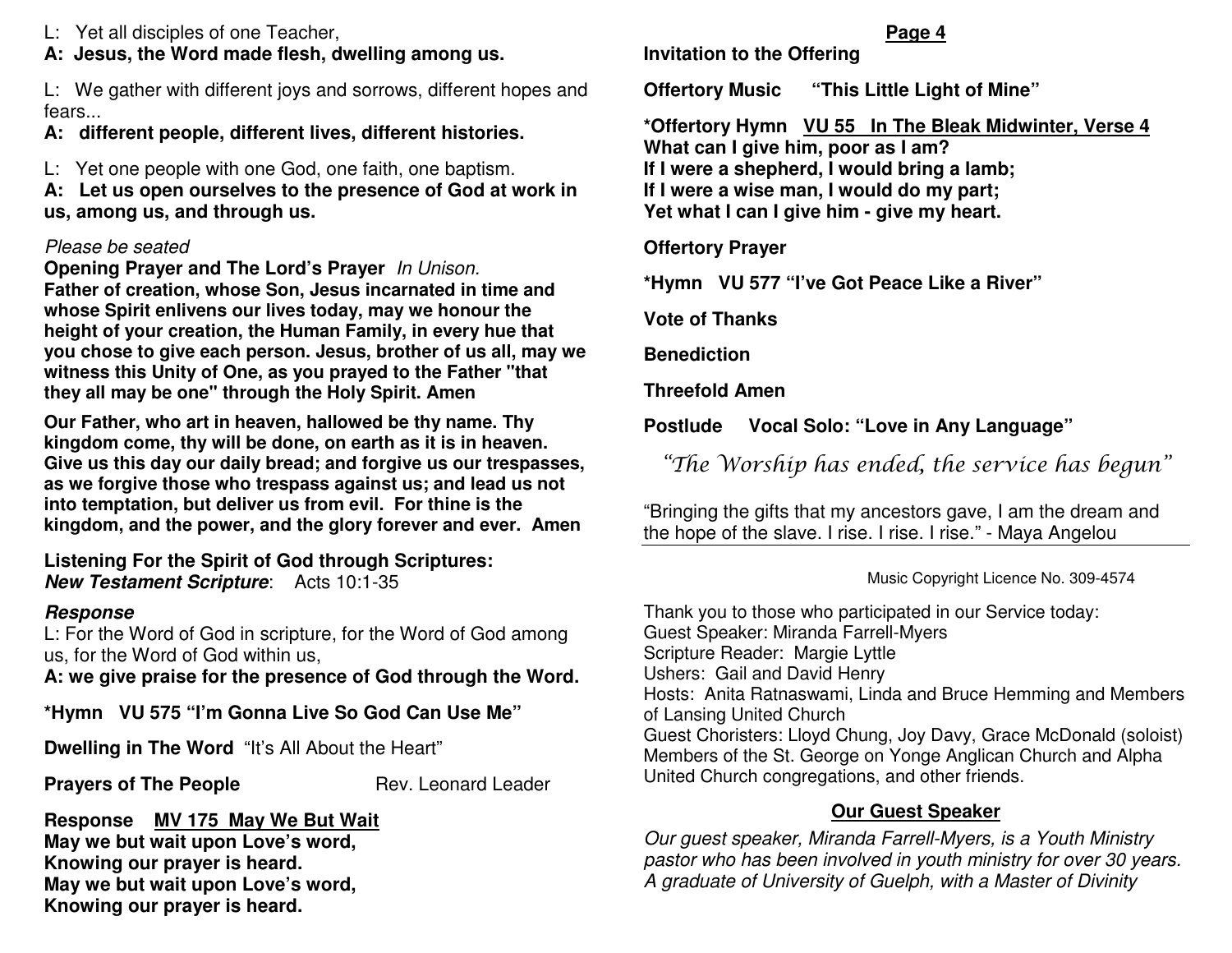L: Yet all disciples of one Teacher,

### **A: Jesus, the Word made flesh, dwelling among us.**

L: We gather with different joys and sorrows, different hopes and fears...

## **A: different people, different lives, different histories.**

L: Yet one people with one God, one faith, one baptism.

 **A: Let us open ourselves to the presence of God at work in us, among us, and through us.** 

### Please be seated

 **Opening Prayer and The Lord's Prayer** In Unison. **Father of creation, whose Son, Jesus incarnated in time and whose Spirit enlivens our lives today, may we honour the height of your creation, the Human Family, in every hue that you chose to give each person. Jesus, brother of us all, may we witness this Unity of One, as you prayed to the Father "that they all may be one" through the Holy Spirit. Amen** 

**Our Father, who art in heaven, hallowed be thy name. Thy kingdom come, thy will be done, on earth as it is in heaven. Give us this day our daily bread; and forgive us our trespasses, as we forgive those who trespass against us; and lead us not into temptation, but deliver us from evil. For thine is the kingdom, and the power, and the glory forever and ever. Amen** 

**Listening For the Spirit of God through Scriptures:New Testament Scripture**: Acts 10:1-35

### **Response**

 L: For the Word of God in scripture, for the Word of God among us, for the Word of God within us,

**A: we give praise for the presence of God through the Word.** 

**\*Hymn VU 575 "I'm Gonna Live So God Can Use Me"** 

**Dwelling in The Word** "It's All About the Heart"

**Prayers of The People Rev. Leonard Leader** 

**Response MV 175 May We But Wait May we but wait upon Love's word, Knowing our prayer is heard. May we but wait upon Love's word, Knowing our prayer is heard.** 

# **Invitation to the Offering**

**Offertory Music "This Little Light of Mine"** 

**\*Offertory Hymn VU 55 In The Bleak Midwinter, Verse 4 What can I give him, poor as I am? If I were a shepherd, I would bring a lamb; If I were a wise man, I would do my part; Yet what I can I give him - give my heart.** 

**Offertory Prayer** 

**\*Hymn VU 577 "I've Got Peace Like a River"**

**Vote of Thanks** 

**Benediction** 

**Threefold Amen** 

**Postlude Vocal Solo: "Love in Any Language"** 

"The Worship has ended, the service has begun"

"Bringing the gifts that my ancestors gave, I am the dream and the hope of the slave. I rise. I rise. I rise." - Maya Angelou

Music Copyright Licence No. 309-4574

Thank you to those who participated in our Service today: Guest Speaker: Miranda Farrell-Myers Scripture Reader: Margie Lyttle Ushers: Gail and David Henry Hosts: Anita Ratnaswami, Linda and Bruce Hemming and Members of Lansing United Church Guest Choristers: Lloyd Chung, Joy Davy, Grace McDonald (soloist) Members of the St. George on Yonge Anglican Church and Alpha United Church congregations, and other friends.

## **Our Guest Speaker**

Our guest speaker, Miranda Farrell-Myers, is a Youth Ministry pastor who has been involved in youth ministry for over 30 years. A graduate of University of Guelph, with a Master of Divinity

#### **Page 4**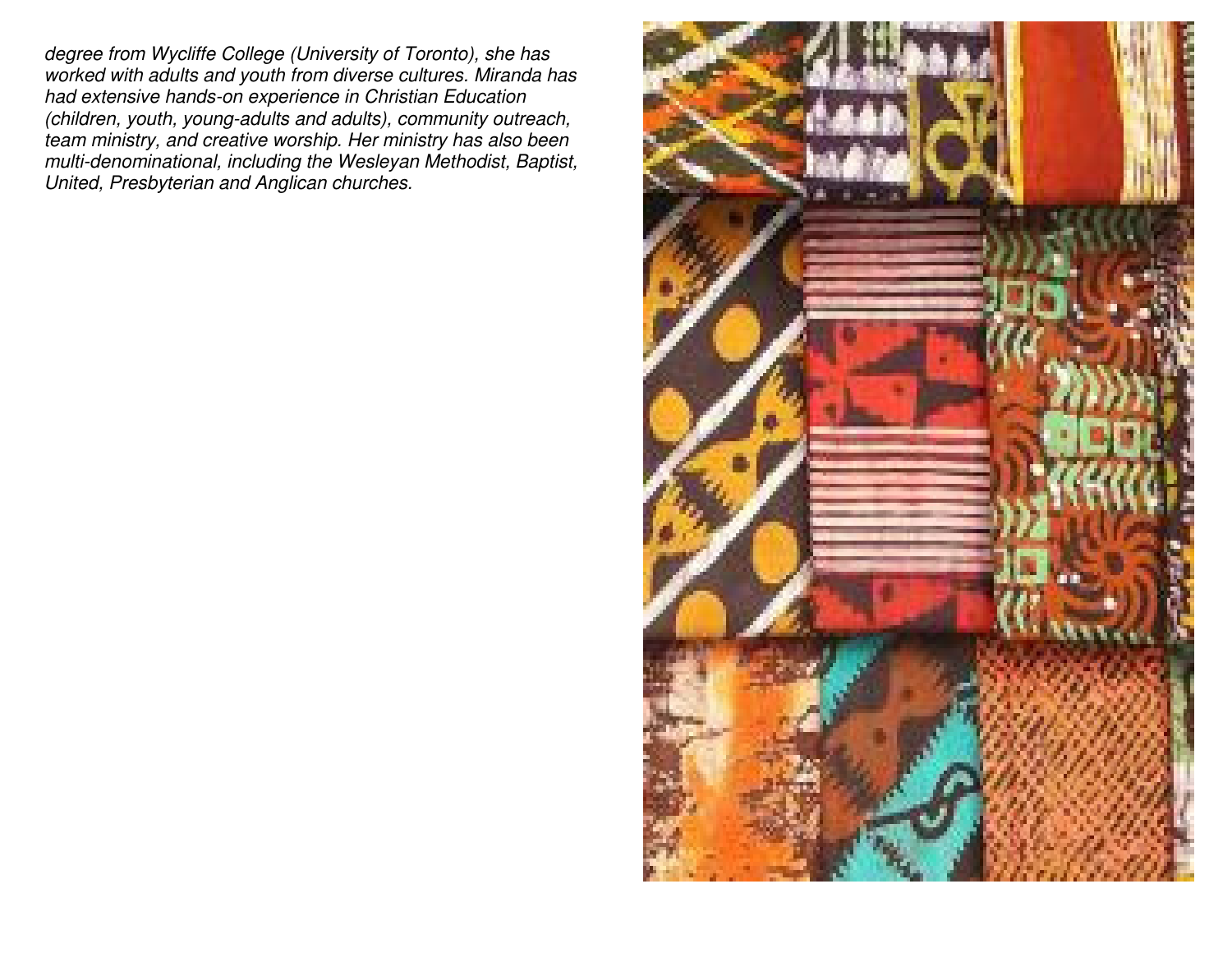degree from Wycliffe College (University of Toronto), she has worked with adults and youth from diverse cultures. Miranda has had extensive hands-on experience in Christian Education (children, youth, young-adults and adults), community outreach, team ministry, and creative worship. Her ministry has also been multi-denominational, including the Wesleyan Methodist, Baptist, United, Presbyterian and Anglican churches.

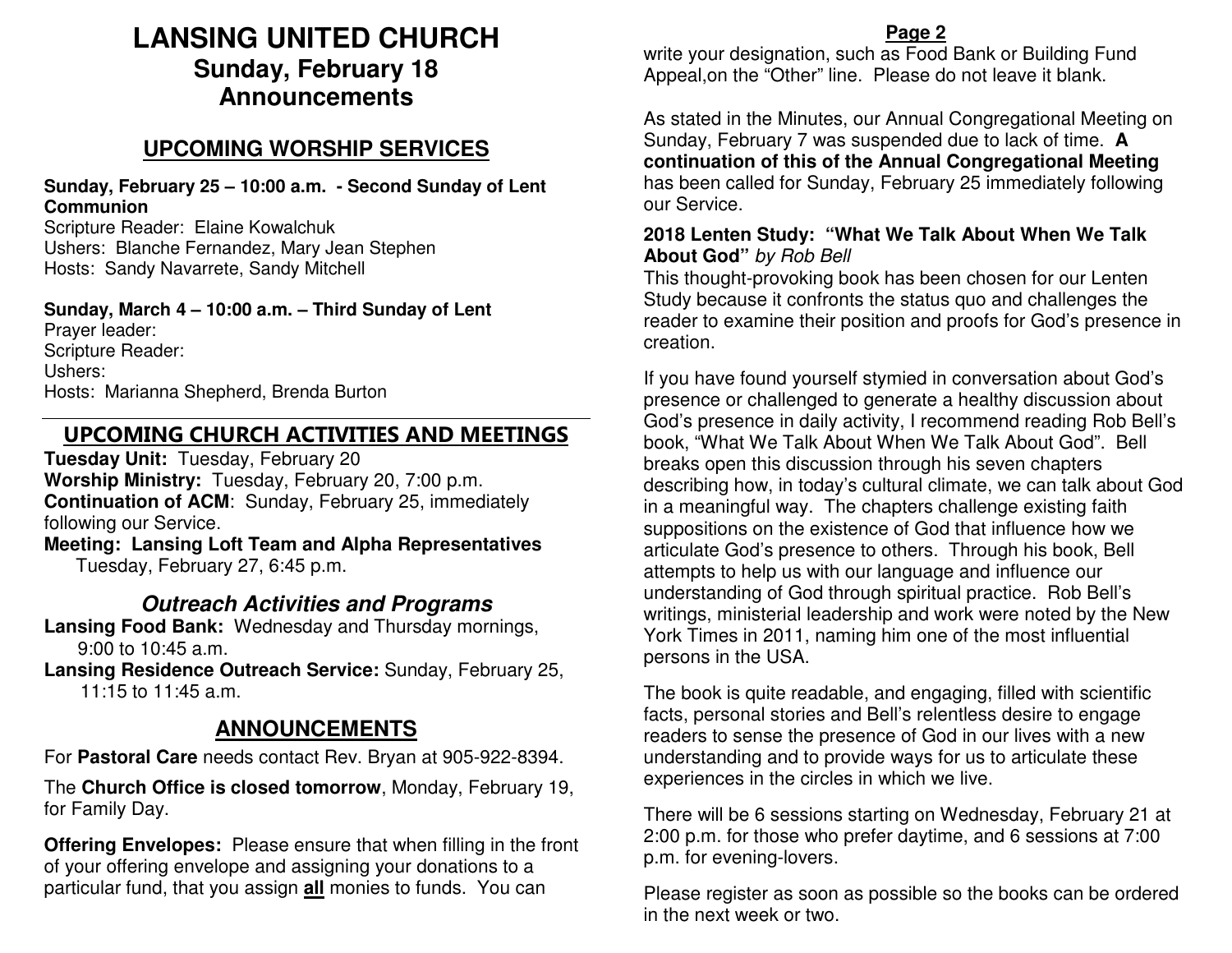# **LANSING UNITED CHURCH Sunday, February 18 Announcements**

## **UPCOMING WORSHIP SERVICES**

**Sunday, February 25 – 10:00 a.m. - Second Sunday of Lent Communion** 

 Scripture Reader: Elaine Kowalchuk Ushers: Blanche Fernandez, Mary Jean Stephen Hosts: Sandy Navarrete, Sandy Mitchell

**Sunday, March 4 – 10:00 a.m. – Third Sunday of Lent**Prayer leader: Scripture Reader: Ushers: Hosts: Marianna Shepherd, Brenda Burton

## UPCOMING CHURCH ACTIVITIES AND MEETINGS

**Tuesday Unit:** Tuesday, February 20 **Worship Ministry:** Tuesday, February 20, 7:00 p.m. **Continuation of ACM**: Sunday, February 25, immediately following our Service.

 **Meeting: Lansing Loft Team and Alpha Representatives** Tuesday, February 27, 6:45 p.m.

## **Outreach Activities and Programs**

 **Lansing Food Bank:** Wednesday and Thursday mornings, 9:00 to 10:45 a.m.

 **Lansing Residence Outreach Service:** Sunday, February 25, 11:15 to 11:45 a.m.

## **ANNOUNCEMENTS**

For **Pastoral Care** needs contact Rev. Bryan at 905-922-8394.

The **Church Office is closed tomorrow**, Monday, February 19, for Family Day.

**Offering Envelopes:** Please ensure that when filling in the front of your offering envelope and assigning your donations to a particular fund, that you assign **all** monies to funds. You can

#### **Page 2**

 write your designation, such as Food Bank or Building Fund Appeal,on the "Other" line. Please do not leave it blank.

As stated in the Minutes, our Annual Congregational Meeting on Sunday, February 7 was suspended due to lack of time. **A continuation of this of the Annual Congregational Meeting** has been called for Sunday, February 25 immediately following our Service.

#### **2018 Lenten Study: "What We Talk About When We Talk About God"** by Rob Bell

This thought-provoking book has been chosen for our Lenten Study because it confronts the status quo and challenges the reader to examine their position and proofs for God's presence in creation.

If you have found yourself stymied in conversation about God's presence or challenged to generate a healthy discussion about God's presence in daily activity, I recommend reading Rob Bell's book, "What We Talk About When We Talk About God". Bell breaks open this discussion through his seven chapters describing how, in today's cultural climate, we can talk about God in a meaningful way. The chapters challenge existing faith suppositions on the existence of God that influence how we articulate God's presence to others. Through his book, Bell attempts to help us with our language and influence our understanding of God through spiritual practice. Rob Bell's writings, ministerial leadership and work were noted by the New York Times in 2011, naming him one of the most influential persons in the USA.

The book is quite readable, and engaging, filled with scientific facts, personal stories and Bell's relentless desire to engage readers to sense the presence of God in our lives with a new understanding and to provide ways for us to articulate these experiences in the circles in which we live.

There will be 6 sessions starting on Wednesday, February 21 at 2:00 p.m. for those who prefer daytime, and 6 sessions at 7:00 p.m. for evening-lovers.

Please register as soon as possible so the books can be ordered in the next week or two.